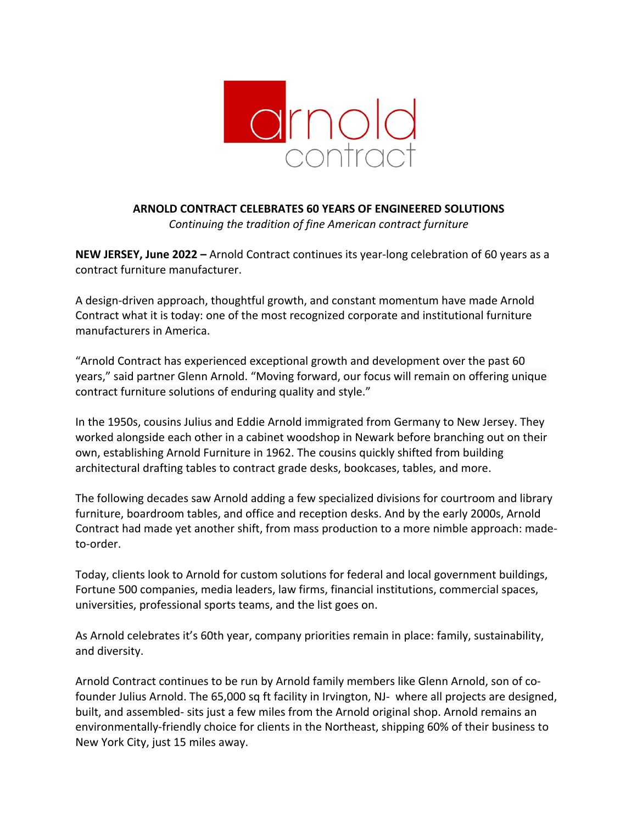

**ARNOLD CONTRACT CELEBRATES 60 YEARS OF ENGINEERED SOLUTIONS** *Continuing the tradition of fine American contract furniture*

**NEW JERSEY, June 2022 –** Arnold Contract continues its year-long celebration of 60 years as a contract furniture manufacturer.

A design-driven approach, thoughtful growth, and constant momentum have made Arnold Contract what it is today: one of the most recognized corporate and institutional furniture manufacturers in America.

"Arnold Contract has experienced exceptional growth and development over the past 60 years," said partner Glenn Arnold. "Moving forward, our focus will remain on offering unique contract furniture solutions of enduring quality and style."

In the 1950s, cousins Julius and Eddie Arnold immigrated from Germany to New Jersey. They worked alongside each other in a cabinet woodshop in Newark before branching out on their own, establishing Arnold Furniture in 1962. The cousins quickly shifted from building architectural drafting tables to contract grade desks, bookcases, tables, and more.

The following decades saw Arnold adding a few specialized divisions for courtroom and library furniture, boardroom tables, and office and reception desks. And by the early 2000s, Arnold Contract had made yet another shift, from mass production to a more nimble approach: madeto-order.

Today, clients look to Arnold for custom solutions for federal and local government buildings, Fortune 500 companies, media leaders, law firms, financial institutions, commercial spaces, universities, professional sports teams, and the list goes on.

As Arnold celebrates it's 60th year, company priorities remain in place: family, sustainability, and diversity.

Arnold Contract continues to be run by Arnold family members like Glenn Arnold, son of cofounder Julius Arnold. The 65,000 sq ft facility in Irvington, NJ- where all projects are designed, built, and assembled- sits just a few miles from the Arnold original shop. Arnold remains an environmentally-friendly choice for clients in the Northeast, shipping 60% of their business to New York City, just 15 miles away.